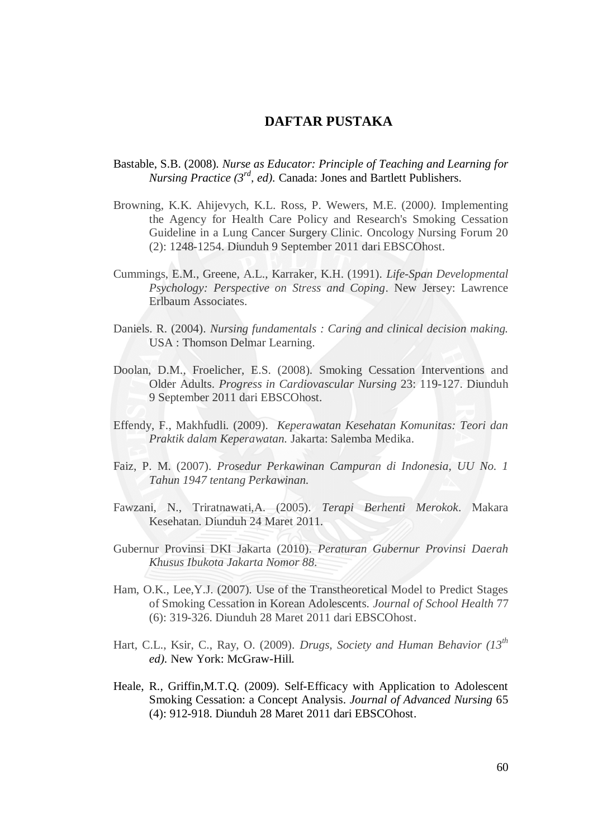## **DAFTAR PUSTAKA**

## Bastable, S.B. (2008). *Nurse as Educator: Principle of Teaching and Learning for Nursing Practice (3rd, ed).* Canada: Jones and Bartlett Publishers.

- Browning, K.K. Ahijevych, K.L. Ross, P. Wewers, M.E. (2000*).* Implementing the Agency for Health Care Policy and Research's Smoking Cessation Guideline in a Lung Cancer Surgery Clinic*.* Oncology Nursing Forum 20 (2): 1248-1254. Diunduh 9 September 2011 dari EBSCOhost.
- Cummings, E.M., Greene, A.L., Karraker, K.H. (1991). *Life-Span Developmental Psychology: Perspective on Stress and Coping*. New Jersey: Lawrence Erlbaum Associates.
- Daniels. R. (2004). *Nursing fundamentals : Caring and clinical decision making.*  USA : Thomson Delmar Learning.
- Doolan, D.M., Froelicher, E.S. (2008). Smoking Cessation Interventions and Older Adults. *Progress in Cardiovascular Nursing* 23: 119-127. Diunduh 9 September 2011 dari EBSCOhost.
- Effendy, F., Makhfudli. (2009). *Keperawatan Kesehatan Komunitas: Teori dan Praktik dalam Keperawatan.* Jakarta: Salemba Medika.
- Faiz, P. M. (2007). *Prosedur Perkawinan Campuran di Indonesia, UU No. 1 Tahun 1947 tentang Perkawinan.*
- Fawzani, N., Triratnawati,A. (2005). *Terapi Berhenti Merokok*. Makara Kesehatan. Diunduh 24 Maret 2011.
- Gubernur Provinsi DKI Jakarta (2010). *Peraturan Gubernur Provinsi Daerah Khusus Ibukota Jakarta Nomor 88.*
- Ham, O.K., Lee,Y.J. (2007). Use of the Transtheoretical Model to Predict Stages of Smoking Cessation in Korean Adolescents*. Journal of School Health* 77 (6): 319-326. Diunduh 28 Maret 2011 dari EBSCOhost.
- Hart, C.L., Ksir, C., Ray, O. (2009). *Drugs, Society and Human Behavior (13th ed).* New York: McGraw-Hill.
- Heale, R., Griffin,M.T.Q. (2009). Self-Efficacy with Application to Adolescent Smoking Cessation: a Concept Analysis. *Journal of Advanced Nursing* 65 (4): 912-918. Diunduh 28 Maret 2011 dari EBSCOhost.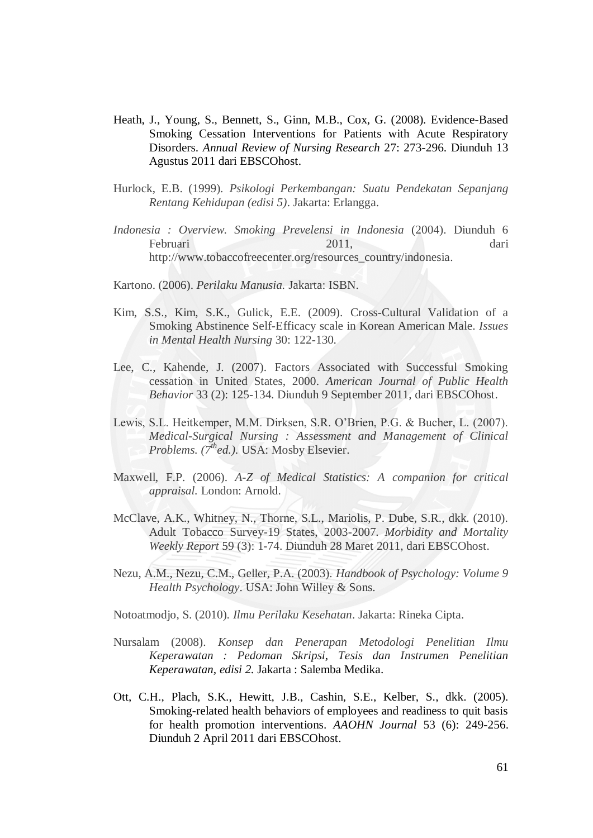- Heath, J., Young, S., Bennett, S., Ginn, M.B., Cox, G. (2008). Evidence-Based Smoking Cessation Interventions for Patients with Acute Respiratory Disorders. *Annual Review of Nursing Research* 27: 273-296. Diunduh 13 Agustus 2011 dari EBSCOhost.
- Hurlock, E.B. (1999). *Psikologi Perkembangan: Suatu Pendekatan Sepanjang Rentang Kehidupan (edisi 5)*. Jakarta: Erlangga.
- *Indonesia : Overview. Smoking Prevelensi in Indonesia* (2004). Diunduh 6 Februari 2011, dari [http://www.tobaccofreecenter.org/resources\\_country/indonesia.](http://www.tobaccofreecenter.org/resources_country/indonesia)
- Kartono. (2006). *Perilaku Manusia.* Jakarta: ISBN.
- Kim, S.S., Kim, S.K., Gulick, E.E. (2009). Cross-Cultural Validation of a Smoking Abstinence Self-Efficacy scale in Korean American Male. *Issues in Mental Health Nursing* 30: 122-130.
- Lee, C., Kahende, J. (2007). Factors Associated with Successful Smoking cessation in United States, 2000. *American Journal of Public Health Behavior* 33 (2): 125-134. Diunduh 9 September 2011, dari EBSCOhost.
- Lewis, S.L. Heitkemper, M.M. Dirksen, S.R. O'Brien, P.G. & Bucher, L. (2007). *Medical-Surgical Nursing : Assessment and Management of Clinical Problems. (7thed.).* USA: Mosby Elsevier.
- Maxwell, F.P. (2006). *A-Z of Medical Statistics: A companion for critical appraisal.* London: Arnold.
- McClave, A.K., Whitney, N., Thorne, S.L., Mariolis, P. Dube, S.R., dkk. (2010). Adult Tobacco Survey-19 States, 2003-2007. *Morbidity and Mortality Weekly Report* 59 (3): 1-74. Diunduh 28 Maret 2011, dari EBSCOhost.
- Nezu, A.M., Nezu, C.M., Geller, P.A. (2003). *Handbook of Psychology: Volume 9 Health Psychology*. USA: John Willey & Sons.
- Notoatmodjo, S. (2010). *Ilmu Perilaku Kesehatan*. Jakarta: Rineka Cipta.
- Nursalam (2008). *Konsep dan Penerapan Metodologi Penelitian Ilmu Keperawatan : Pedoman Skripsi, Tesis dan Instrumen Penelitian Keperawatan, edisi 2.* Jakarta : Salemba Medika.
- Ott, C.H., Plach, S.K., Hewitt, J.B., Cashin, S.E., Kelber, S., dkk. (2005). Smoking-related health behaviors of employees and readiness to quit basis for health promotion interventions. *AAOHN Journal* 53 (6): 249-256. Diunduh 2 April 2011 dari EBSCOhost.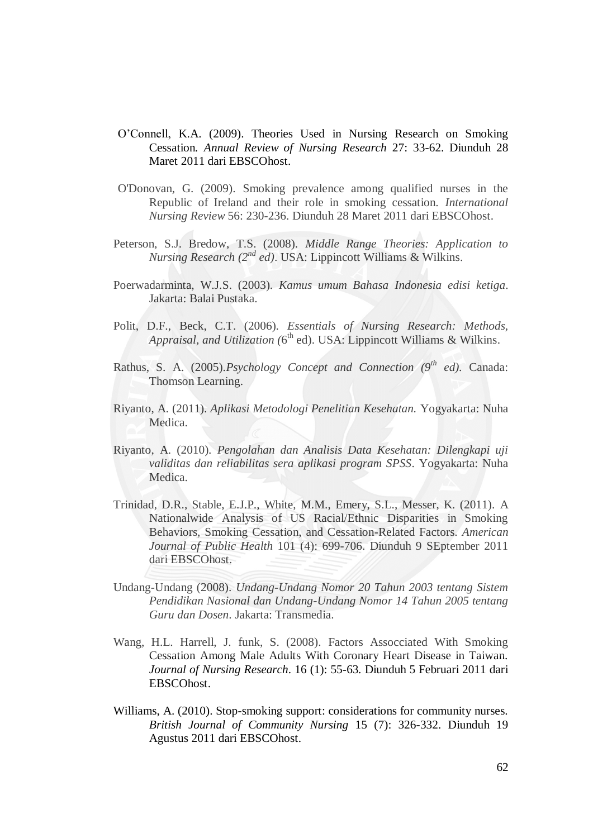- O'Connell, K.A. (2009). Theories Used in Nursing Research on Smoking Cessation*. Annual Review of Nursing Research* 27: 33-62. Diunduh 28 Maret 2011 dari EBSCOhost.
- O'Donovan, G. (2009). Smoking prevalence among qualified nurses in the Republic of Ireland and their role in smoking cessation. *International Nursing Review* 56: 230-236. Diunduh 28 Maret 2011 dari EBSCOhost.
- Peterson, S.J. Bredow, T.S. (2008). *Middle Range Theories: Application to Nursing Research (2nd ed)*. USA: Lippincott Williams & Wilkins.
- Poerwadarminta, W.J.S. (2003). *Kamus umum Bahasa Indonesia edisi ketiga*. Jakarta: Balai Pustaka.
- Polit, D.F., Beck, C.T. (2006). *Essentials of Nursing Research: Methods, Appraisal, and Utilization (*6 th ed). USA: Lippincott Williams & Wilkins.
- Rathus, S. A. (2005)*.Psychology Concept and Connection (9th ed).* Canada: Thomson Learning.
- Riyanto, A. (2011). *Aplikasi Metodologi Penelitian Kesehatan.* Yogyakarta: Nuha Medica.
- Riyanto, A. (2010). *Pengolahan dan Analisis Data Kesehatan: Dilengkapi uji validitas dan reliabilitas sera aplikasi program SPSS*. Yogyakarta: Nuha Medica.
- Trinidad, D.R., Stable, E.J.P., White, M.M., Emery, S.L., Messer, K. (2011). A Nationalwide Analysis of US Racial/Ethnic Disparities in Smoking Behaviors, Smoking Cessation, and Cessation-Related Factors. *American Journal of Public Health* 101 (4): 699-706. Diunduh 9 SEptember 2011 dari EBSCOhost.
- Undang-Undang (2008). *Undang-Undang Nomor 20 Tahun 2003 tentang Sistem Pendidikan Nasional dan Undang-Undang Nomor 14 Tahun 2005 tentang Guru dan Dosen*. Jakarta: Transmedia.
- Wang, H.L. Harrell, J. funk, S. (2008). Factors Assocciated With Smoking Cessation Among Male Adults With Coronary Heart Disease in Taiwan. *Journal of Nursing Research*. 16 (1): 55-63. Diunduh 5 Februari 2011 dari EBSCOhost.
- Williams, A. (2010). Stop-smoking support: considerations for community nurses. *British Journal of Community Nursing* 15 (7): 326-332. Diunduh 19 Agustus 2011 dari EBSCOhost.